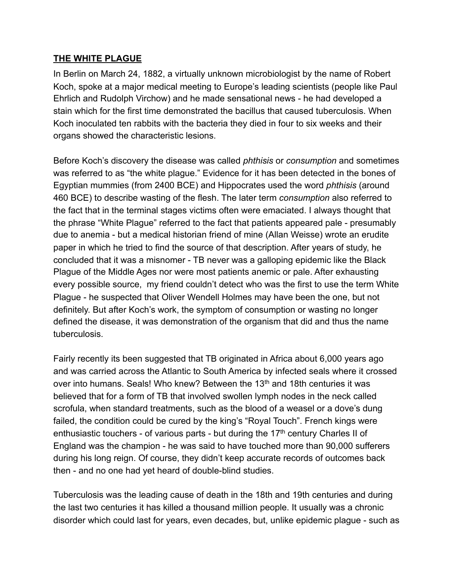## **THE WHITE PLAGUE**

In Berlin on March 24, 1882, a virtually unknown microbiologist by the name of Robert Koch, spoke at a major medical meeting to Europe's leading scientists (people like Paul Ehrlich and Rudolph Virchow) and he made sensational news - he had developed a stain which for the first time demonstrated the bacillus that caused tuberculosis. When Koch inoculated ten rabbits with the bacteria they died in four to six weeks and their organs showed the characteristic lesions.

Before Koch's discovery the disease was called *phthisis* or *consumption* and sometimes was referred to as "the white plague." Evidence for it has been detected in the bones of Egyptian mummies (from 2400 BCE) and Hippocrates used the word *phthisis* (around 460 BCE) to describe wasting of the flesh. The later term *consumption* also referred to the fact that in the terminal stages victims often were emaciated. I always thought that the phrase "White Plague" referred to the fact that patients appeared pale - presumably due to anemia - but a medical historian friend of mine (Allan Weisse) wrote an erudite paper in which he tried to find the source of that description. After years of study, he concluded that it was a misnomer - TB never was a galloping epidemic like the Black Plague of the Middle Ages nor were most patients anemic or pale. After exhausting every possible source, my friend couldn't detect who was the first to use the term White Plague - he suspected that Oliver Wendell Holmes may have been the one, but not definitely. But after Koch's work, the symptom of consumption or wasting no longer defined the disease, it was demonstration of the organism that did and thus the name tuberculosis.

Fairly recently its been suggested that TB originated in Africa about 6,000 years ago and was carried across the Atlantic to South America by infected seals where it crossed over into humans. Seals! Who knew? Between the 13<sup>th</sup> and 18th centuries it was believed that for a form of TB that involved swollen lymph nodes in the neck called scrofula, when standard treatments, such as the blood of a weasel or a dove's dung failed, the condition could be cured by the king's "Royal Touch". French kings were enthusiastic touchers - of various parts - but during the  $17<sup>th</sup>$  century Charles II of England was the champion - he was said to have touched more than 90,000 sufferers during his long reign. Of course, they didn't keep accurate records of outcomes back then - and no one had yet heard of double-blind studies.

Tuberculosis was the leading cause of death in the 18th and 19th centuries and during the last two centuries it has killed a thousand million people. It usually was a chronic disorder which could last for years, even decades, but, unlike epidemic plague - such as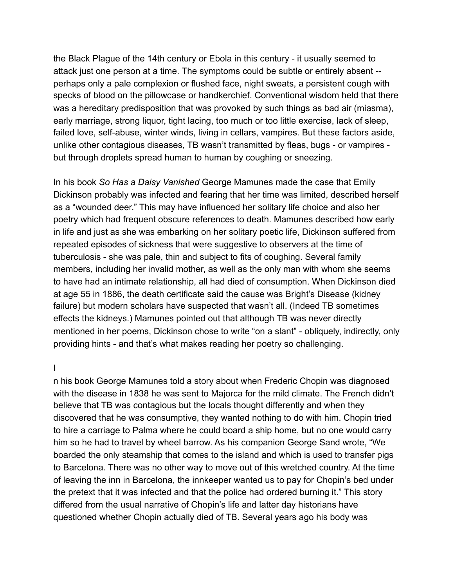the Black Plague of the 14th century or Ebola in this century - it usually seemed to attack just one person at a time. The symptoms could be subtle or entirely absent - perhaps only a pale complexion or flushed face, night sweats, a persistent cough with specks of blood on the pillowcase or handkerchief. Conventional wisdom held that there was a hereditary predisposition that was provoked by such things as bad air (miasma), early marriage, strong liquor, tight lacing, too much or too little exercise, lack of sleep, failed love, self-abuse, winter winds, living in cellars, vampires. But these factors aside, unlike other contagious diseases, TB wasn't transmitted by fleas, bugs - or vampires but through droplets spread human to human by coughing or sneezing.

In his book *So Has a Daisy Vanished* George Mamunes made the case that Emily Dickinson probably was infected and fearing that her time was limited, described herself as a "wounded deer." This may have influenced her solitary life choice and also her poetry which had frequent obscure references to death. Mamunes described how early in life and just as she was embarking on her solitary poetic life, Dickinson suffered from repeated episodes of sickness that were suggestive to observers at the time of tuberculosis - she was pale, thin and subject to fits of coughing. Several family members, including her invalid mother, as well as the only man with whom she seems to have had an intimate relationship, all had died of consumption. When Dickinson died at age 55 in 1886, the death certificate said the cause was Bright's Disease (kidney failure) but modern scholars have suspected that wasn't all. (Indeed TB sometimes effects the kidneys.) Mamunes pointed out that although TB was never directly mentioned in her poems, Dickinson chose to write "on a slant" - obliquely, indirectly, only providing hints - and that's what makes reading her poetry so challenging.

#### I

n his book George Mamunes told a story about when Frederic Chopin was diagnosed with the disease in 1838 he was sent to Majorca for the mild climate. The French didn't believe that TB was contagious but the locals thought differently and when they discovered that he was consumptive, they wanted nothing to do with him. Chopin tried to hire a carriage to Palma where he could board a ship home, but no one would carry him so he had to travel by wheel barrow. As his companion George Sand wrote, "We boarded the only steamship that comes to the island and which is used to transfer pigs to Barcelona. There was no other way to move out of this wretched country. At the time of leaving the inn in Barcelona, the innkeeper wanted us to pay for Chopin's bed under the pretext that it was infected and that the police had ordered burning it." This story differed from the usual narrative of Chopin's life and latter day historians have questioned whether Chopin actually died of TB. Several years ago his body was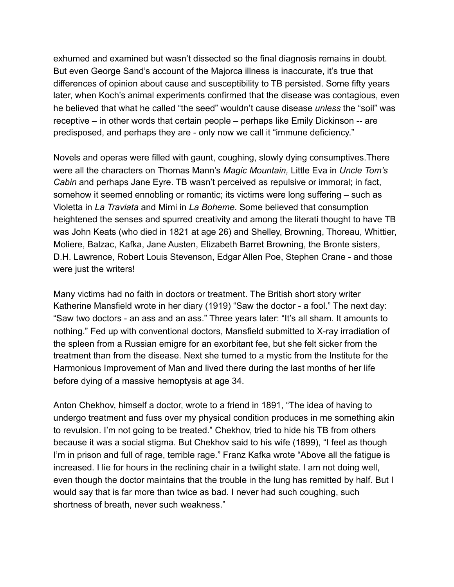exhumed and examined but wasn't dissected so the final diagnosis remains in doubt. But even George Sand's account of the Majorca illness is inaccurate, it's true that differences of opinion about cause and susceptibility to TB persisted. Some fifty years later, when Koch's animal experiments confirmed that the disease was contagious, even he believed that what he called "the seed" wouldn't cause disease *unless* the "soil" was receptive – in other words that certain people – perhaps like Emily Dickinson -- are predisposed, and perhaps they are - only now we call it "immune deficiency."

Novels and operas were filled with gaunt, coughing, slowly dying consumptives.There were all the characters on Thomas Mann's *Magic Mountain,* Little Eva in *Uncle Tom's Cabin* and perhaps Jane Eyre. TB wasn't perceived as repulsive or immoral; in fact, somehow it seemed ennobling or romantic; its victims were long suffering – such as Violetta in *La Traviata* and Mimi in *La Boheme*. Some believed that consumption heightened the senses and spurred creativity and among the literati thought to have TB was John Keats (who died in 1821 at age 26) and Shelley, Browning, Thoreau, Whittier, Moliere, Balzac, Kafka, Jane Austen, Elizabeth Barret Browning, the Bronte sisters, D.H. Lawrence, Robert Louis Stevenson, Edgar Allen Poe, Stephen Crane - and those were just the writers!

Many victims had no faith in doctors or treatment. The British short story writer Katherine Mansfield wrote in her diary (1919) "Saw the doctor - a fool." The next day: "Saw two doctors - an ass and an ass." Three years later: "It's all sham. It amounts to nothing." Fed up with conventional doctors, Mansfield submitted to X-ray irradiation of the spleen from a Russian emigre for an exorbitant fee, but she felt sicker from the treatment than from the disease. Next she turned to a mystic from the Institute for the Harmonious Improvement of Man and lived there during the last months of her life before dying of a massive hemoptysis at age 34.

Anton Chekhov, himself a doctor, wrote to a friend in 1891, "The idea of having to undergo treatment and fuss over my physical condition produces in me something akin to revulsion. I'm not going to be treated." Chekhov, tried to hide his TB from others because it was a social stigma. But Chekhov said to his wife (1899), "I feel as though I'm in prison and full of rage, terrible rage." Franz Kafka wrote "Above all the fatigue is increased. I lie for hours in the reclining chair in a twilight state. I am not doing well, even though the doctor maintains that the trouble in the lung has remitted by half. But I would say that is far more than twice as bad. I never had such coughing, such shortness of breath, never such weakness."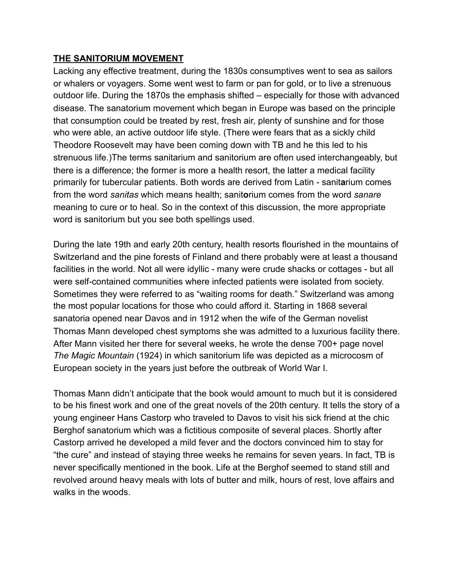## **THE SANITORIUM MOVEMENT**

Lacking any effective treatment, during the 1830s consumptives went to sea as sailors or whalers or voyagers. Some went west to farm or pan for gold, or to live a strenuous outdoor life. During the 1870s the emphasis shifted – especially for those with advanced disease. The sanatorium movement which began in Europe was based on the principle that consumption could be treated by rest, fresh air, plenty of sunshine and for those who were able, an active outdoor life style. (There were fears that as a sickly child Theodore Roosevelt may have been coming down with TB and he this led to his strenuous life.)The terms sanitarium and sanitorium are often used interchangeably, but there is a difference; the former is more a health resort, the latter a medical facility primarily for tubercular patients. Both words are derived from Latin - sanit**a**rium comes from the word *sanitas* which means health; sanit**o**rium comes from the word *sanare* meaning to cure or to heal. So in the context of this discussion, the more appropriate word is sanitorium but you see both spellings used.

During the late 19th and early 20th century, health resorts flourished in the mountains of Switzerland and the pine forests of Finland and there probably were at least a thousand facilities in the world. Not all were idyllic - many were crude shacks or cottages - but all were self-contained communities where infected patients were isolated from society. Sometimes they were referred to as "waiting rooms for death." Switzerland was among the most popular locations for those who could afford it. Starting in 1868 several sanatoria opened near Davos and in 1912 when the wife of the German novelist Thomas Mann developed chest symptoms she was admitted to a luxurious facility there. After Mann visited her there for several weeks, he wrote the dense 700+ page novel *The Magic Mountain* (1924) in which sanitorium life was depicted as a microcosm of European society in the years just before the outbreak of World War I.

Thomas Mann didn't anticipate that the book would amount to much but it is considered to be his finest work and one of the great novels of the 20th century. It tells the story of a young engineer Hans Castorp who traveled to Davos to visit his sick friend at the chic Berghof sanatorium which was a fictitious composite of several places. Shortly after Castorp arrived he developed a mild fever and the doctors convinced him to stay for "the cure" and instead of staying three weeks he remains for seven years. In fact, TB is never specifically mentioned in the book. Life at the Berghof seemed to stand still and revolved around heavy meals with lots of butter and milk, hours of rest, love affairs and walks in the woods.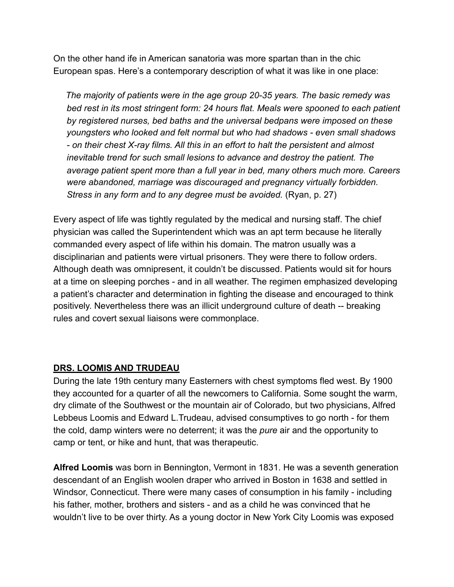On the other hand ife in American sanatoria was more spartan than in the chic European spas. Here's a contemporary description of what it was like in one place:

 *The majority of patients were in the age group 20-35 years. The basic remedy was bed rest in its most stringent form: 24 hours flat. Meals were spooned to each patient by registered nurses, bed baths and the universal bedpans were imposed on these youngsters who looked and felt normal but who had shadows - even small shadows - on their chest X-ray films. All this in an effort to halt the persistent and almost inevitable trend for such small lesions to advance and destroy the patient. The average patient spent more than a full year in bed, many others much more. Careers were abandoned, marriage was discouraged and pregnancy virtually forbidden. Stress in any form and to any degree must be avoided.* (Ryan, p. 27)

Every aspect of life was tightly regulated by the medical and nursing staff. The chief physician was called the Superintendent which was an apt term because he literally commanded every aspect of life within his domain. The matron usually was a disciplinarian and patients were virtual prisoners. They were there to follow orders. Although death was omnipresent, it couldn't be discussed. Patients would sit for hours at a time on sleeping porches - and in all weather. The regimen emphasized developing a patient's character and determination in fighting the disease and encouraged to think positively. Nevertheless there was an illicit underground culture of death -- breaking rules and covert sexual liaisons were commonplace.

## **DRS. LOOMIS AND TRUDEAU**

During the late 19th century many Easterners with chest symptoms fled west. By 1900 they accounted for a quarter of all the newcomers to California. Some sought the warm, dry climate of the Southwest or the mountain air of Colorado, but two physicians, Alfred Lebbeus Loomis and Edward L.Trudeau, advised consumptives to go north - for them the cold, damp winters were no deterrent; it was the *pure* air and the opportunity to camp or tent, or hike and hunt, that was therapeutic.

**Alfred Loomis** was born in Bennington, Vermont in 1831. He was a seventh generation descendant of an English woolen draper who arrived in Boston in 1638 and settled in Windsor, Connecticut. There were many cases of consumption in his family - including his father, mother, brothers and sisters - and as a child he was convinced that he wouldn't live to be over thirty. As a young doctor in New York City Loomis was exposed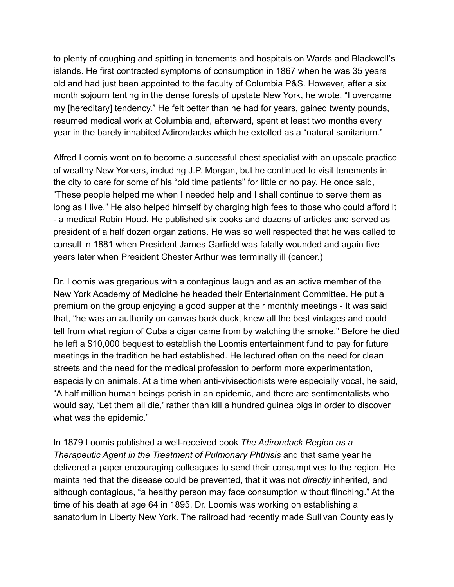to plenty of coughing and spitting in tenements and hospitals on Wards and Blackwell's islands. He first contracted symptoms of consumption in 1867 when he was 35 years old and had just been appointed to the faculty of Columbia P&S. However, after a six month sojourn tenting in the dense forests of upstate New York, he wrote, "I overcame my [hereditary] tendency." He felt better than he had for years, gained twenty pounds, resumed medical work at Columbia and, afterward, spent at least two months every year in the barely inhabited Adirondacks which he extolled as a "natural sanitarium."

Alfred Loomis went on to become a successful chest specialist with an upscale practice of wealthy New Yorkers, including J.P. Morgan, but he continued to visit tenements in the city to care for some of his "old time patients" for little or no pay. He once said, "These people helped me when I needed help and I shall continue to serve them as long as I live." He also helped himself by charging high fees to those who could afford it - a medical Robin Hood. He published six books and dozens of articles and served as president of a half dozen organizations. He was so well respected that he was called to consult in 1881 when President James Garfield was fatally wounded and again five years later when President Chester Arthur was terminally ill (cancer.)

Dr. Loomis was gregarious with a contagious laugh and as an active member of the New York Academy of Medicine he headed their Entertainment Committee. He put a premium on the group enjoying a good supper at their monthly meetings - It was said that, "he was an authority on canvas back duck, knew all the best vintages and could tell from what region of Cuba a cigar came from by watching the smoke." Before he died he left a \$10,000 bequest to establish the Loomis entertainment fund to pay for future meetings in the tradition he had established. He lectured often on the need for clean streets and the need for the medical profession to perform more experimentation, especially on animals. At a time when anti-vivisectionists were especially vocal, he said, "A half million human beings perish in an epidemic, and there are sentimentalists who would say, 'Let them all die,' rather than kill a hundred guinea pigs in order to discover what was the epidemic."

In 1879 Loomis published a well-received book *The Adirondack Region as a Therapeutic Agent in the Treatment of Pulmonary Phthisis* and that same year he delivered a paper encouraging colleagues to send their consumptives to the region. He maintained that the disease could be prevented, that it was not *directly* inherited, and although contagious, "a healthy person may face consumption without flinching." At the time of his death at age 64 in 1895, Dr. Loomis was working on establishing a sanatorium in Liberty New York. The railroad had recently made Sullivan County easily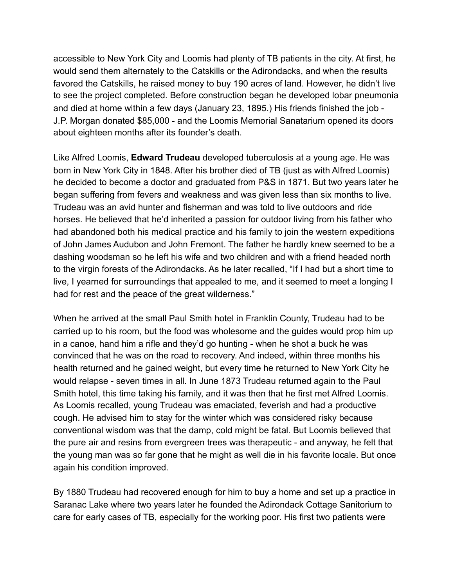accessible to New York City and Loomis had plenty of TB patients in the city. At first, he would send them alternately to the Catskills or the Adirondacks, and when the results favored the Catskills, he raised money to buy 190 acres of land. However, he didn't live to see the project completed. Before construction began he developed lobar pneumonia and died at home within a few days (January 23, 1895.) His friends finished the job - J.P. Morgan donated \$85,000 - and the Loomis Memorial Sanatarium opened its doors about eighteen months after its founder's death.

Like Alfred Loomis, **Edward Trudeau** developed tuberculosis at a young age. He was born in New York City in 1848. After his brother died of TB (just as with Alfred Loomis) he decided to become a doctor and graduated from P&S in 1871. But two years later he began suffering from fevers and weakness and was given less than six months to live. Trudeau was an avid hunter and fisherman and was told to live outdoors and ride horses. He believed that he'd inherited a passion for outdoor living from his father who had abandoned both his medical practice and his family to join the western expeditions of John James Audubon and John Fremont. The father he hardly knew seemed to be a dashing woodsman so he left his wife and two children and with a friend headed north to the virgin forests of the Adirondacks. As he later recalled, "If I had but a short time to live, I yearned for surroundings that appealed to me, and it seemed to meet a longing I had for rest and the peace of the great wilderness."

When he arrived at the small Paul Smith hotel in Franklin County, Trudeau had to be carried up to his room, but the food was wholesome and the guides would prop him up in a canoe, hand him a rifle and they'd go hunting - when he shot a buck he was convinced that he was on the road to recovery. And indeed, within three months his health returned and he gained weight, but every time he returned to New York City he would relapse - seven times in all. In June 1873 Trudeau returned again to the Paul Smith hotel, this time taking his family, and it was then that he first met Alfred Loomis. As Loomis recalled, young Trudeau was emaciated, feverish and had a productive cough. He advised him to stay for the winter which was considered risky because conventional wisdom was that the damp, cold might be fatal. But Loomis believed that the pure air and resins from evergreen trees was therapeutic - and anyway, he felt that the young man was so far gone that he might as well die in his favorite locale. But once again his condition improved.

By 1880 Trudeau had recovered enough for him to buy a home and set up a practice in Saranac Lake where two years later he founded the Adirondack Cottage Sanitorium to care for early cases of TB, especially for the working poor. His first two patients were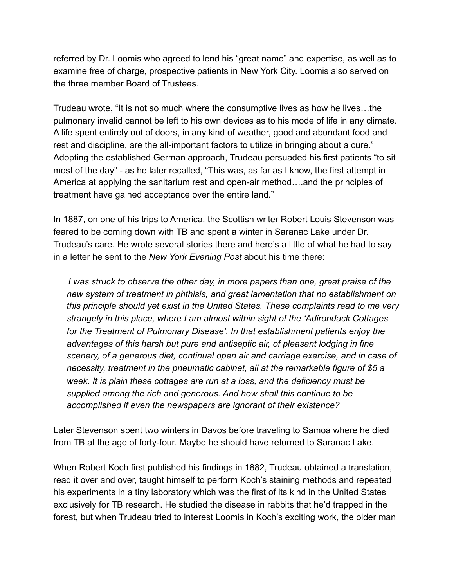referred by Dr. Loomis who agreed to lend his "great name" and expertise, as well as to examine free of charge, prospective patients in New York City. Loomis also served on the three member Board of Trustees.

Trudeau wrote, "It is not so much where the consumptive lives as how he lives…the pulmonary invalid cannot be left to his own devices as to his mode of life in any climate. A life spent entirely out of doors, in any kind of weather, good and abundant food and rest and discipline, are the all-important factors to utilize in bringing about a cure." Adopting the established German approach, Trudeau persuaded his first patients "to sit most of the day" - as he later recalled, "This was, as far as I know, the first attempt in America at applying the sanitarium rest and open-air method….and the principles of treatment have gained acceptance over the entire land."

In 1887, on one of his trips to America, the Scottish writer Robert Louis Stevenson was feared to be coming down with TB and spent a winter in Saranac Lake under Dr. Trudeau's care. He wrote several stories there and here's a little of what he had to say in a letter he sent to the *New York Evening Post* about his time there:

 *I was struck to observe the other day, in more papers than one, great praise of the new system of treatment in phthisis, and great lamentation that no establishment on this principle should yet exist in the United States. These complaints read to me very strangely in this place, where I am almost within sight of the 'Adirondack Cottages for the Treatment of Pulmonary Disease'. In that establishment patients enjoy the advantages of this harsh but pure and antiseptic air, of pleasant lodging in fine scenery, of a generous diet, continual open air and carriage exercise, and in case of necessity, treatment in the pneumatic cabinet, all at the remarkable figure of \$5 a week. It is plain these cottages are run at a loss, and the deficiency must be supplied among the rich and generous. And how shall this continue to be accomplished if even the newspapers are ignorant of their existence?* 

Later Stevenson spent two winters in Davos before traveling to Samoa where he died from TB at the age of forty-four. Maybe he should have returned to Saranac Lake.

When Robert Koch first published his findings in 1882, Trudeau obtained a translation, read it over and over, taught himself to perform Koch's staining methods and repeated his experiments in a tiny laboratory which was the first of its kind in the United States exclusively for TB research. He studied the disease in rabbits that he'd trapped in the forest, but when Trudeau tried to interest Loomis in Koch's exciting work, the older man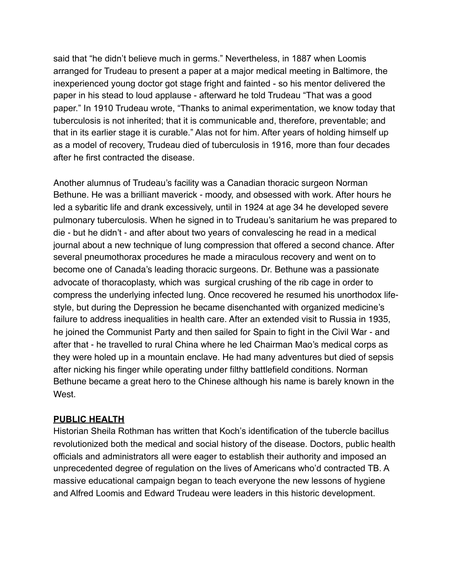said that "he didn't believe much in germs." Nevertheless, in 1887 when Loomis arranged for Trudeau to present a paper at a major medical meeting in Baltimore, the inexperienced young doctor got stage fright and fainted - so his mentor delivered the paper in his stead to loud applause - afterward he told Trudeau "That was a good paper." In 1910 Trudeau wrote, "Thanks to animal experimentation, we know today that tuberculosis is not inherited; that it is communicable and, therefore, preventable; and that in its earlier stage it is curable." Alas not for him. After years of holding himself up as a model of recovery, Trudeau died of tuberculosis in 1916, more than four decades after he first contracted the disease.

Another alumnus of Trudeau's facility was a Canadian thoracic surgeon Norman Bethune. He was a brilliant maverick - moody, and obsessed with work. After hours he led a sybaritic life and drank excessively, until in 1924 at age 34 he developed severe pulmonary tuberculosis. When he signed in to Trudeau's sanitarium he was prepared to die - but he didn't - and after about two years of convalescing he read in a medical journal about a new technique of lung compression that offered a second chance. After several pneumothorax procedures he made a miraculous recovery and went on to become one of Canada's leading thoracic surgeons. Dr. Bethune was a passionate advocate of thoracoplasty, which was surgical crushing of the rib cage in order to compress the underlying infected lung. Once recovered he resumed his unorthodox lifestyle, but during the Depression he became disenchanted with organized medicine's failure to address inequalities in health care. After an extended visit to Russia in 1935, he joined the Communist Party and then sailed for Spain to fight in the Civil War - and after that - he travelled to rural China where he led Chairman Mao's medical corps as they were holed up in a mountain enclave. He had many adventures but died of sepsis after nicking his finger while operating under filthy battlefield conditions. Norman Bethune became a great hero to the Chinese although his name is barely known in the West.

## **PUBLIC HEALTH**

Historian Sheila Rothman has written that Koch's identification of the tubercle bacillus revolutionized both the medical and social history of the disease. Doctors, public health officials and administrators all were eager to establish their authority and imposed an unprecedented degree of regulation on the lives of Americans who'd contracted TB. A massive educational campaign began to teach everyone the new lessons of hygiene and Alfred Loomis and Edward Trudeau were leaders in this historic development.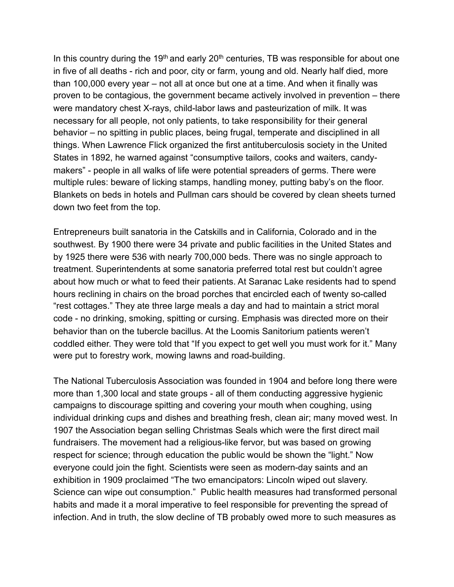In this country during the 19<sup>th</sup> and early  $20<sup>th</sup>$  centuries, TB was responsible for about one in five of all deaths - rich and poor, city or farm, young and old. Nearly half died, more than 100,000 every year – not all at once but one at a time. And when it finally was proven to be contagious, the government became actively involved in prevention – there were mandatory chest X-rays, child-labor laws and pasteurization of milk. It was necessary for all people, not only patients, to take responsibility for their general behavior – no spitting in public places, being frugal, temperate and disciplined in all things. When Lawrence Flick organized the first antituberculosis society in the United States in 1892, he warned against "consumptive tailors, cooks and waiters, candymakers" - people in all walks of life were potential spreaders of germs. There were multiple rules: beware of licking stamps, handling money, putting baby's on the floor. Blankets on beds in hotels and Pullman cars should be covered by clean sheets turned down two feet from the top.

Entrepreneurs built sanatoria in the Catskills and in California, Colorado and in the southwest. By 1900 there were 34 private and public facilities in the United States and by 1925 there were 536 with nearly 700,000 beds. There was no single approach to treatment. Superintendents at some sanatoria preferred total rest but couldn't agree about how much or what to feed their patients. At Saranac Lake residents had to spend hours reclining in chairs on the broad porches that encircled each of twenty so-called "rest cottages." They ate three large meals a day and had to maintain a strict moral code - no drinking, smoking, spitting or cursing. Emphasis was directed more on their behavior than on the tubercle bacillus. At the Loomis Sanitorium patients weren't coddled either. They were told that "If you expect to get well you must work for it." Many were put to forestry work, mowing lawns and road-building.

The National Tuberculosis Association was founded in 1904 and before long there were more than 1,300 local and state groups - all of them conducting aggressive hygienic campaigns to discourage spitting and covering your mouth when coughing, using individual drinking cups and dishes and breathing fresh, clean air; many moved west. In 1907 the Association began selling Christmas Seals which were the first direct mail fundraisers. The movement had a religious-like fervor, but was based on growing respect for science; through education the public would be shown the "light." Now everyone could join the fight. Scientists were seen as modern-day saints and an exhibition in 1909 proclaimed "The two emancipators: Lincoln wiped out slavery. Science can wipe out consumption." Public health measures had transformed personal habits and made it a moral imperative to feel responsible for preventing the spread of infection. And in truth, the slow decline of TB probably owed more to such measures as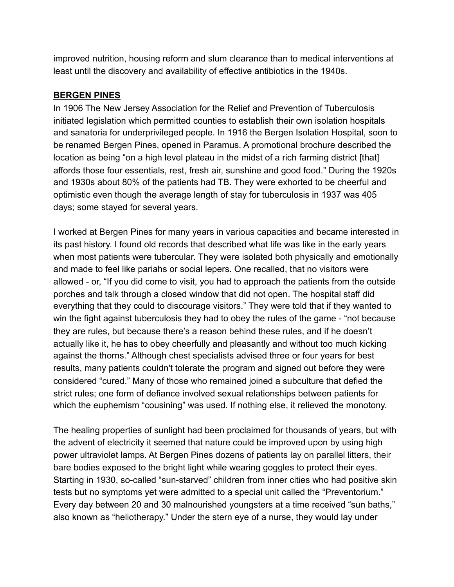improved nutrition, housing reform and slum clearance than to medical interventions at least until the discovery and availability of effective antibiotics in the 1940s.

## **BERGEN PINES**

In 1906 The New Jersey Association for the Relief and Prevention of Tuberculosis initiated legislation which permitted counties to establish their own isolation hospitals and sanatoria for underprivileged people. In 1916 the Bergen Isolation Hospital, soon to be renamed Bergen Pines, opened in Paramus. A promotional brochure described the location as being "on a high level plateau in the midst of a rich farming district [that] affords those four essentials, rest, fresh air, sunshine and good food." During the 1920s and 1930s about 80% of the patients had TB. They were exhorted to be cheerful and optimistic even though the average length of stay for tuberculosis in 1937 was 405 days; some stayed for several years.

I worked at Bergen Pines for many years in various capacities and became interested in its past history. I found old records that described what life was like in the early years when most patients were tubercular. They were isolated both physically and emotionally and made to feel like pariahs or social lepers. One recalled, that no visitors were allowed - or, "If you did come to visit, you had to approach the patients from the outside porches and talk through a closed window that did not open. The hospital staff did everything that they could to discourage visitors." They were told that if they wanted to win the fight against tuberculosis they had to obey the rules of the game - "not because they are rules, but because there's a reason behind these rules, and if he doesn't actually like it, he has to obey cheerfully and pleasantly and without too much kicking against the thorns." Although chest specialists advised three or four years for best results, many patients couldn't tolerate the program and signed out before they were considered "cured." Many of those who remained joined a subculture that defied the strict rules; one form of defiance involved sexual relationships between patients for which the euphemism "cousining" was used. If nothing else, it relieved the monotony.

The healing properties of sunlight had been proclaimed for thousands of years, but with the advent of electricity it seemed that nature could be improved upon by using high power ultraviolet lamps. At Bergen Pines dozens of patients lay on parallel litters, their bare bodies exposed to the bright light while wearing goggles to protect their eyes. Starting in 1930, so-called "sun-starved" children from inner cities who had positive skin tests but no symptoms yet were admitted to a special unit called the "Preventorium." Every day between 20 and 30 malnourished youngsters at a time received "sun baths," also known as "heliotherapy." Under the stern eye of a nurse, they would lay under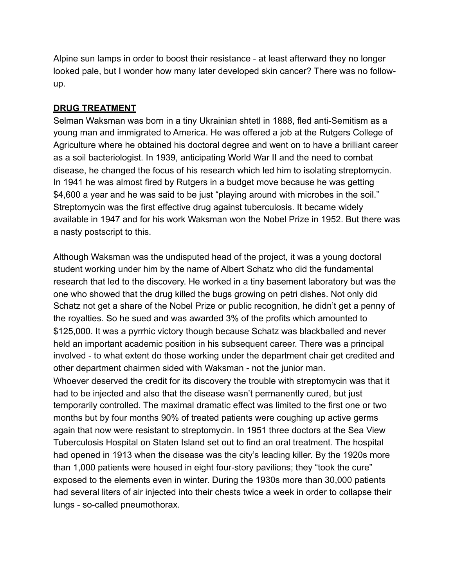Alpine sun lamps in order to boost their resistance - at least afterward they no longer looked pale, but I wonder how many later developed skin cancer? There was no followup.

## **DRUG TREATMENT**

Selman Waksman was born in a tiny Ukrainian shtetl in 1888, fled anti-Semitism as a young man and immigrated to America. He was offered a job at the Rutgers College of Agriculture where he obtained his doctoral degree and went on to have a brilliant career as a soil bacteriologist. In 1939, anticipating World War II and the need to combat disease, he changed the focus of his research which led him to isolating streptomycin. In 1941 he was almost fired by Rutgers in a budget move because he was getting \$4,600 a year and he was said to be just "playing around with microbes in the soil." Streptomycin was the first effective drug against tuberculosis. It became widely available in 1947 and for his work Waksman won the Nobel Prize in 1952. But there was a nasty postscript to this.

Although Waksman was the undisputed head of the project, it was a young doctoral student working under him by the name of Albert Schatz who did the fundamental research that led to the discovery. He worked in a tiny basement laboratory but was the one who showed that the drug killed the bugs growing on petri dishes. Not only did Schatz not get a share of the Nobel Prize or public recognition, he didn't get a penny of the royalties. So he sued and was awarded 3% of the profits which amounted to \$125,000. It was a pyrrhic victory though because Schatz was blackballed and never held an important academic position in his subsequent career. There was a principal involved - to what extent do those working under the department chair get credited and other department chairmen sided with Waksman - not the junior man. Whoever deserved the credit for its discovery the trouble with streptomycin was that it had to be injected and also that the disease wasn't permanently cured, but just temporarily controlled. The maximal dramatic effect was limited to the first one or two months but by four months 90% of treated patients were coughing up active germs again that now were resistant to streptomycin. In 1951 three doctors at the Sea View Tuberculosis Hospital on Staten Island set out to find an oral treatment. The hospital had opened in 1913 when the disease was the city's leading killer. By the 1920s more than 1,000 patients were housed in eight four-story pavilions; they "took the cure" exposed to the elements even in winter. During the 1930s more than 30,000 patients had several liters of air injected into their chests twice a week in order to collapse their lungs - so-called pneumothorax.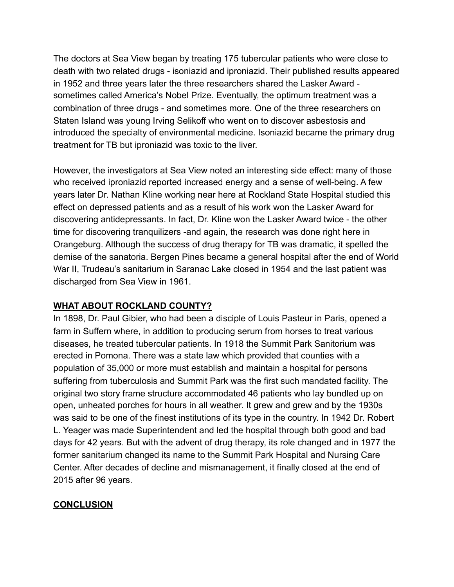The doctors at Sea View began by treating 175 tubercular patients who were close to death with two related drugs - isoniazid and iproniazid. Their published results appeared in 1952 and three years later the three researchers shared the Lasker Award sometimes called America's Nobel Prize. Eventually, the optimum treatment was a combination of three drugs - and sometimes more. One of the three researchers on Staten Island was young Irving Selikoff who went on to discover asbestosis and introduced the specialty of environmental medicine. Isoniazid became the primary drug treatment for TB but iproniazid was toxic to the liver.

However, the investigators at Sea View noted an interesting side effect: many of those who received iproniazid reported increased energy and a sense of well-being. A few years later Dr. Nathan Kline working near here at Rockland State Hospital studied this effect on depressed patients and as a result of his work won the Lasker Award for discovering antidepressants. In fact, Dr. Kline won the Lasker Award twice - the other time for discovering tranquilizers -and again, the research was done right here in Orangeburg. Although the success of drug therapy for TB was dramatic, it spelled the demise of the sanatoria. Bergen Pines became a general hospital after the end of World War II, Trudeau's sanitarium in Saranac Lake closed in 1954 and the last patient was discharged from Sea View in 1961.

# **WHAT ABOUT ROCKLAND COUNTY?**

In 1898, Dr. Paul Gibier, who had been a disciple of Louis Pasteur in Paris, opened a farm in Suffern where, in addition to producing serum from horses to treat various diseases, he treated tubercular patients. In 1918 the Summit Park Sanitorium was erected in Pomona. There was a state law which provided that counties with a population of 35,000 or more must establish and maintain a hospital for persons suffering from tuberculosis and Summit Park was the first such mandated facility. The original two story frame structure accommodated 46 patients who lay bundled up on open, unheated porches for hours in all weather. It grew and grew and by the 1930s was said to be one of the finest institutions of its type in the country. In 1942 Dr. Robert L. Yeager was made Superintendent and led the hospital through both good and bad days for 42 years. But with the advent of drug therapy, its role changed and in 1977 the former sanitarium changed its name to the Summit Park Hospital and Nursing Care Center. After decades of decline and mismanagement, it finally closed at the end of 2015 after 96 years.

# **CONCLUSION**